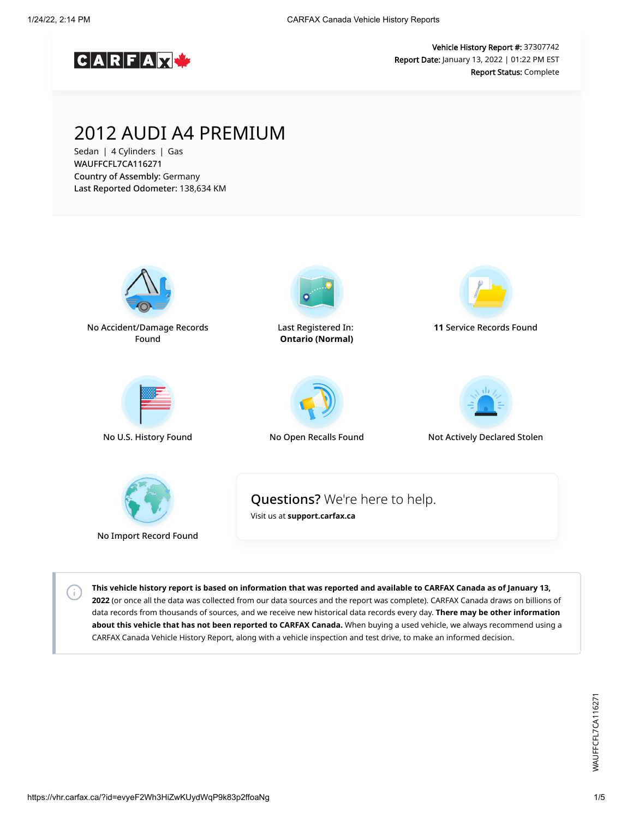

Vehicle History Report #: 37307742 Report Date: January 13, 2022 | 01:22 PM EST Report Status: Complete

## 2012 AUDI A4 PREMIUM

Sedan | 4 Cylinders | Gas WAUFFCFL7CA116271 Country of Assembly: Germany Last Reported Odometer: 138,634 KM



**This vehicle history report is based on information that was reported and available to CARFAX Canada as of January 13, 2022** (or once all the data was collected from our data sources and the report was complete). CARFAX Canada draws on billions of data records from thousands of sources, and we receive new historical data records every day. **There may be other information about this vehicle that has not been reported to CARFAX Canada.** When buying a used vehicle, we always recommend using a CARFAX Canada Vehicle History Report, along with a vehicle inspection and test drive, to make an informed decision.

 $\left( \cdot \right)$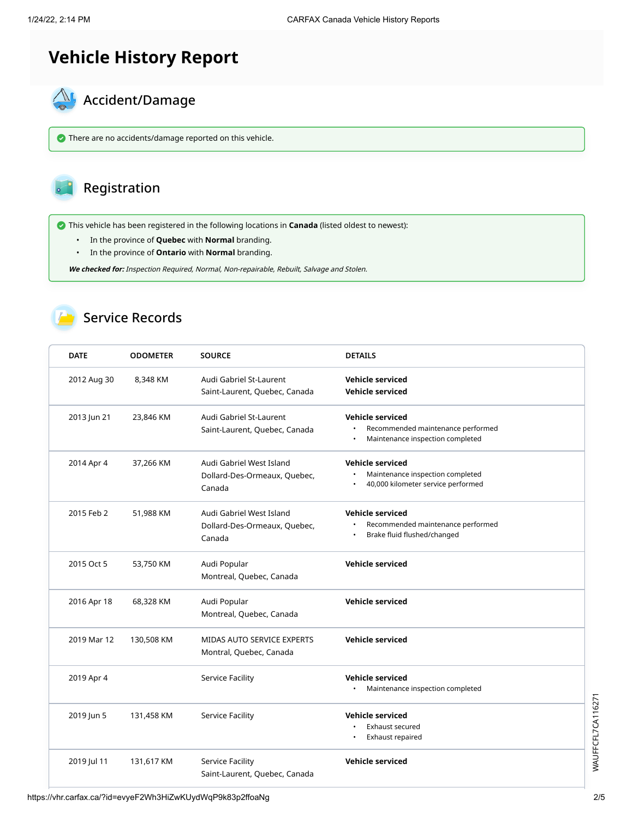# **Vehicle History Report**



There are no accidents/damage reported on this vehicle.

#### Registration

This vehicle has been registered in the following locations in **Canada** (listed oldest to newest):

- In the province of **Quebec** with **Normal** branding.
- In the province of **Ontario** with **Normal** branding.

**We checked for:** Inspection Required, Normal, Non-repairable, Rebuilt, Salvage and Stolen.

#### Service Records

| <b>DATE</b> | <b>ODOMETER</b> | <b>SOURCE</b>                                                      | <b>DETAILS</b>                                                                                    |
|-------------|-----------------|--------------------------------------------------------------------|---------------------------------------------------------------------------------------------------|
| 2012 Aug 30 | 8,348 KM        | Audi Gabriel St-Laurent<br>Saint-Laurent, Quebec, Canada           | <b>Vehicle serviced</b><br><b>Vehicle serviced</b>                                                |
| 2013 Jun 21 | 23,846 KM       | Audi Gabriel St-Laurent<br>Saint-Laurent, Quebec, Canada           | <b>Vehicle serviced</b><br>Recommended maintenance performed<br>Maintenance inspection completed  |
| 2014 Apr 4  | 37,266 KM       | Audi Gabriel West Island<br>Dollard-Des-Ormeaux, Quebec,<br>Canada | <b>Vehicle serviced</b><br>Maintenance inspection completed<br>40,000 kilometer service performed |
| 2015 Feb 2  | 51,988 KM       | Audi Gabriel West Island<br>Dollard-Des-Ormeaux, Quebec,<br>Canada | <b>Vehicle serviced</b><br>Recommended maintenance performed<br>Brake fluid flushed/changed       |
| 2015 Oct 5  | 53,750 KM       | Audi Popular<br>Montreal, Quebec, Canada                           | <b>Vehicle serviced</b>                                                                           |
| 2016 Apr 18 | 68,328 KM       | Audi Popular<br>Montreal, Quebec, Canada                           | <b>Vehicle serviced</b>                                                                           |
| 2019 Mar 12 | 130,508 KM      | <b>MIDAS AUTO SERVICE EXPERTS</b><br>Montral, Quebec, Canada       | <b>Vehicle serviced</b>                                                                           |
| 2019 Apr 4  |                 | Service Facility                                                   | <b>Vehicle serviced</b><br>Maintenance inspection completed                                       |
| 2019 Jun 5  | 131,458 KM      | Service Facility                                                   | <b>Vehicle serviced</b><br><b>Exhaust secured</b><br>Exhaust repaired                             |
| 2019 Jul 11 | 131,617 KM      | Service Facility<br>Saint-Laurent, Quebec, Canada                  | <b>Vehicle serviced</b>                                                                           |

https://vhr.carfax.ca/?id=evyeF2Wh3HiZwKUydWqP9k83p2ffoaNg 2/5

WAUFFCFL7CA116271 WAUFFCFL7CA116271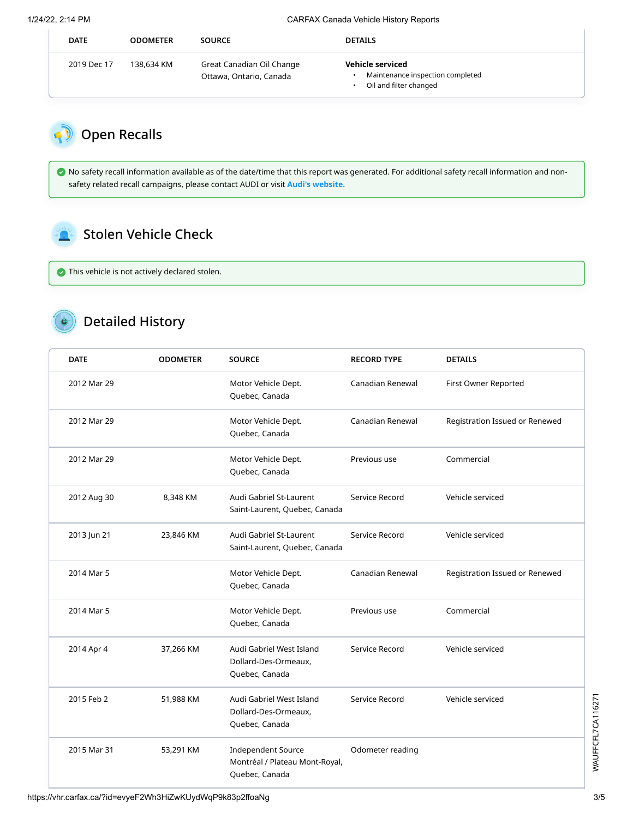1/24/22, 2:14 PM CARFAX Canada Vehicle History Reports

| <b>DATE</b> | <b>ODOMETER</b> | <b>SOURCE</b>                                        | <b>DETAILS</b>                                                                 |
|-------------|-----------------|------------------------------------------------------|--------------------------------------------------------------------------------|
| 2019 Dec 17 | 138,634 KM      | Great Canadian Oil Change<br>Ottawa, Ontario, Canada | Vehicle serviced<br>Maintenance inspection completed<br>Oil and filter changed |

## Open Recalls

 No safety recall information available as of the date/time that this report was generated. For additional safety recall information and nonsafety related recall campaigns, please contact AUDI or visit **[Audi's website.](http://web.audiusa.com/recall/)**

### Stolen Vehicle Check

This vehicle is not actively declared stolen.

## Detailed History

| <b>DATE</b> | <b>ODOMETER</b> | <b>SOURCE</b>                                                                 | <b>RECORD TYPE</b> | <b>DETAILS</b>                 |
|-------------|-----------------|-------------------------------------------------------------------------------|--------------------|--------------------------------|
| 2012 Mar 29 |                 | Motor Vehicle Dept.<br>Quebec, Canada                                         | Canadian Renewal   | First Owner Reported           |
| 2012 Mar 29 |                 | Motor Vehicle Dept.<br>Quebec, Canada                                         | Canadian Renewal   | Registration Issued or Renewed |
| 2012 Mar 29 |                 | Motor Vehicle Dept.<br>Quebec, Canada                                         | Previous use       | Commercial                     |
| 2012 Aug 30 | 8,348 KM        | Audi Gabriel St-Laurent<br>Saint-Laurent, Quebec, Canada                      | Service Record     | Vehicle serviced               |
| 2013 Jun 21 | 23,846 KM       | Audi Gabriel St-Laurent<br>Saint-Laurent, Quebec, Canada                      | Service Record     | Vehicle serviced               |
| 2014 Mar 5  |                 | Motor Vehicle Dept.<br>Quebec, Canada                                         | Canadian Renewal   | Registration Issued or Renewed |
| 2014 Mar 5  |                 | Motor Vehicle Dept.<br>Quebec, Canada                                         | Previous use       | Commercial                     |
| 2014 Apr 4  | 37,266 KM       | Audi Gabriel West Island<br>Dollard-Des-Ormeaux,<br>Quebec, Canada            | Service Record     | Vehicle serviced               |
| 2015 Feb 2  | 51,988 KM       | Audi Gabriel West Island<br>Dollard-Des-Ormeaux,<br>Quebec, Canada            | Service Record     | Vehicle serviced               |
| 2015 Mar 31 | 53,291 KM       | <b>Independent Source</b><br>Montréal / Plateau Mont-Royal,<br>Quebec, Canada | Odometer reading   |                                |

WAUFFCFL7CA116271 WAUFFCFL7CA116271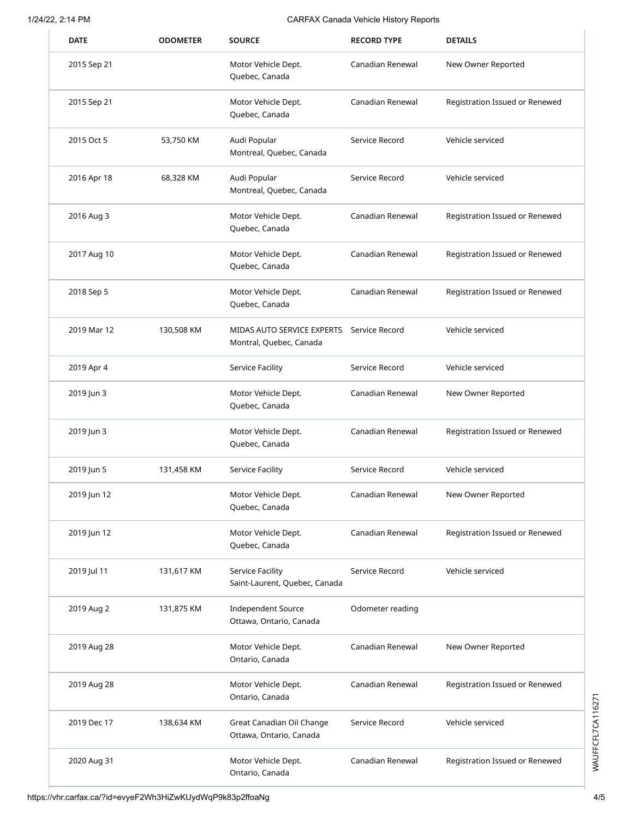#### 1/24/22, 2:14 PM CARFAX Canada Vehicle History Reports

| <b>DATE</b> | <b>ODOMETER</b> | <b>SOURCE</b>                                                        | <b>RECORD TYPE</b> | <b>DETAILS</b>                 |
|-------------|-----------------|----------------------------------------------------------------------|--------------------|--------------------------------|
| 2015 Sep 21 |                 | Motor Vehicle Dept.<br>Quebec, Canada                                | Canadian Renewal   | New Owner Reported             |
| 2015 Sep 21 |                 | Motor Vehicle Dept.<br>Quebec, Canada                                | Canadian Renewal   | Registration Issued or Renewed |
| 2015 Oct 5  | 53,750 KM       | Audi Popular<br>Montreal, Quebec, Canada                             | Service Record     | Vehicle serviced               |
| 2016 Apr 18 | 68,328 KM       | Audi Popular<br>Montreal, Quebec, Canada                             | Service Record     | Vehicle serviced               |
| 2016 Aug 3  |                 | Motor Vehicle Dept.<br>Quebec, Canada                                | Canadian Renewal   | Registration Issued or Renewed |
| 2017 Aug 10 |                 | Motor Vehicle Dept.<br>Quebec, Canada                                | Canadian Renewal   | Registration Issued or Renewed |
| 2018 Sep 5  |                 | Motor Vehicle Dept.<br>Quebec, Canada                                | Canadian Renewal   | Registration Issued or Renewed |
| 2019 Mar 12 | 130,508 KM      | MIDAS AUTO SERVICE EXPERTS Service Record<br>Montral, Quebec, Canada |                    | Vehicle serviced               |
| 2019 Apr 4  |                 | Service Facility                                                     | Service Record     | Vehicle serviced               |
| 2019 Jun 3  |                 | Motor Vehicle Dept.<br>Quebec, Canada                                | Canadian Renewal   | New Owner Reported             |
| 2019 Jun 3  |                 | Motor Vehicle Dept.<br>Quebec, Canada                                | Canadian Renewal   | Registration Issued or Renewed |
| 2019 Jun 5  | 131,458 KM      | Service Facility                                                     | Service Record     | Vehicle serviced               |
| 2019 Jun 12 |                 | Motor Vehicle Dept.<br>Quebec, Canada                                | Canadian Renewal   | New Owner Reported             |
| 2019 Jun 12 |                 | Motor Vehicle Dept.<br>Quebec, Canada                                | Canadian Renewal   | Registration Issued or Renewed |
| 2019 Jul 11 | 131,617 KM      | Service Facility<br>Saint-Laurent, Quebec, Canada                    | Service Record     | Vehicle serviced               |
| 2019 Aug 2  | 131,875 KM      | <b>Independent Source</b><br>Ottawa, Ontario, Canada                 | Odometer reading   |                                |
| 2019 Aug 28 |                 | Motor Vehicle Dept.<br>Ontario, Canada                               | Canadian Renewal   | New Owner Reported             |
| 2019 Aug 28 |                 | Motor Vehicle Dept.<br>Ontario, Canada                               | Canadian Renewal   | Registration Issued or Renewed |
| 2019 Dec 17 | 138,634 KM      | Great Canadian Oil Change<br>Ottawa, Ontario, Canada                 | Service Record     | Vehicle serviced               |
| 2020 Aug 31 |                 | Motor Vehicle Dept.<br>Ontario, Canada                               | Canadian Renewal   | Registration Issued or Renewed |

WAUFFCFL7CA116271 WAUFFCFL7CA116271